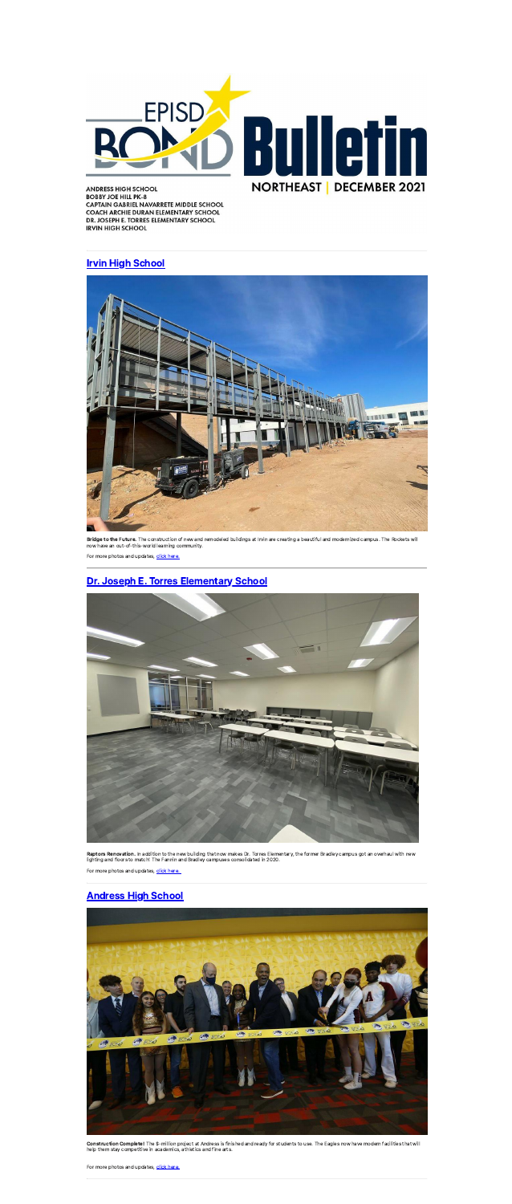

**ANDRESS HIGH SCHOOL BOBBY JOE HILL PK-8** CAPTAIN GABRIEL NAVARRETE MIDDLE SCHOOL CAPTAIN GABRIEL NAVARKETE MIDDLE SCHOOL<br>COACH ARCHIE DURAN ELEMENTARY SCHOOL<br>DR. JOSEPH E. TORRES ELEMENTARY SCHOOL **IRVIN HIGH SCHOOL** 

#### **[Irvin High](https://linkprotect.cudasvc.com/url?a=https%3a%2f%2fwww.episd.org%2fPage%2f957&c=E,1,r7RiohtEubPC7Aa6CxyJWqv96-n7TlsuAWBGFjtyK_aS5DBcFa_aSpooPT4MFf1UxFW6Li7SJoS9GG88mqZBLYi44b9Js8yZSAhvea-5bkH-rte0QQ,,&typo=1) School**



Bridge to the Future. The construction of new and remodeled buildings at Irvin are creating a beautiful and modernized campus. The Rockets will now have an out-of-this-world learning community.

For more photos and updates, click [here.](https://linkprotect.cudasvc.com/url?a=https%3a%2f%2fwww.episd.org%2fPage%2f957&c=E,1,BI6ieW7oyT_N-MqoBkcOhselNWFImTxNIi4VrYdmC3v3wDAbolYexYfjQ9OWNFVNd5odWzWFLum70wu4HEPHqzn2cQE14gOgkjGTzT4sOxslzW3pD-JiPEP_8g,,&typo=1)

### Dr. Joseph E. [Torres Elementary](https://linkprotect.cudasvc.com/url?a=https%3a%2f%2fwww.episd.org%2fPage%2f946&c=E,1,55vdmxuThYQMCpbr0HBQcjsiJEIF1XKPz-mN0Eej-Nox22apMKUCVVJ4JI1yOj1du75YaOeo6qbHVxzlt4FMzMojCgKOfo3Yt6DJmaLfU53q6XmWf0b-Yw,,&typo=1) School



**Raptors Renovation.** In addition to the new building that now makes Dr. Torres Elementary, the former Bradley campus got an overhaul with new<br>lighting and floors to match! The Fannin and Bradley campuses consolidated in 2

For more photos and updates, click [here.](https://linkprotect.cudasvc.com/url?a=https%3a%2f%2fwww.episd.org%2fPage%2f946&c=E,1,-P-_S6apnTaML0KZKL6LXVmVGzxRJsmy9dvOZ7DT318-AO8mbbYnMj-h6O9-YxqDLjKi6AKue0TwPXktYB-WMMeMiHReAE6U9Fwlmqxrh__s&typo=1)

### [Andress High](https://linkprotect.cudasvc.com/url?a=https%3a%2f%2fwww.episd.org%2fPage%2f954&c=E,1,aemmoyqEkECF71c_SyngFjnpSMF4z5Nprgb1ZmA5RuLBE659k0KnTfcMgGDT3QejGh2iPyYWyeRIeUxfWfKnJJ1zPcovBcHr0xFssZW0bhzQAgs,&typo=1) School



**Construction Complete!** The \$-million project at Andress is finished and ready for students to use. The Eagles now have modern facilities that will<br>help them stay competitive in academics, athletics and fine arts.

For more photos and updates, click [here.](https://linkprotect.cudasvc.com/url?a=https%3a%2f%2fwww.episd.org%2fPage%2f954&c=E,1,HMjJAlo1stIWSCYlM9D9dGihheM_CTGmqFBOj3MDqZMZ3HzY4tN5tABaHzlKymN9pT6Yox4izEscduipy_gq1RuA4y0gm7NQBhYxFxqtDg,,&typo=1)